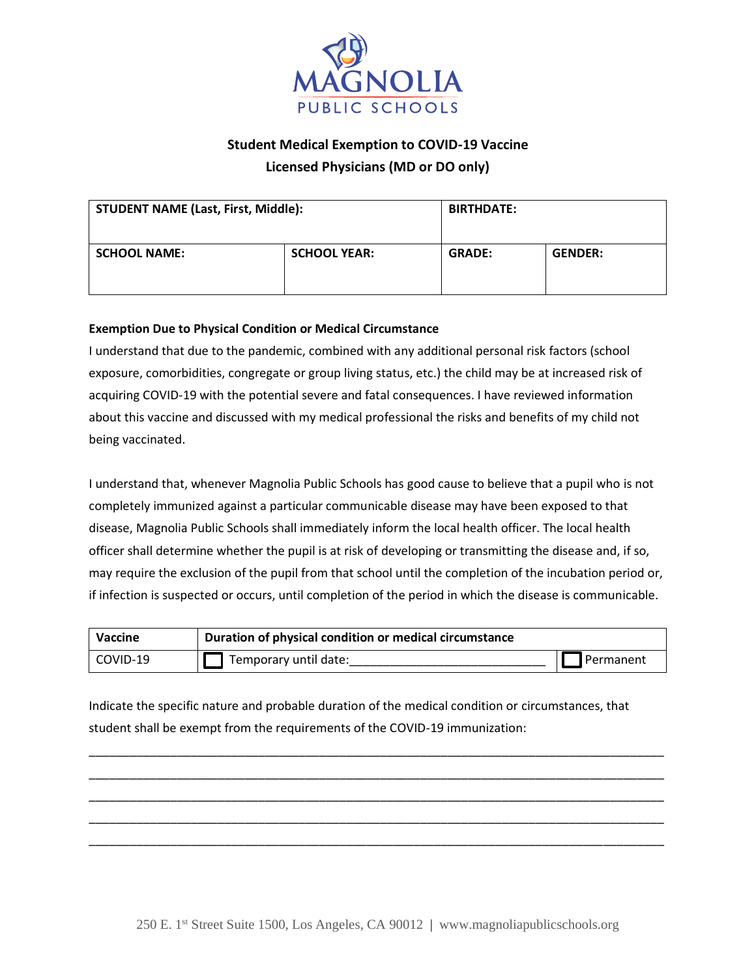

## **Student Medical Exemption to COVID-19 Vaccine**

**Licensed Physicians (MD or DO only)**

| <b>STUDENT NAME (Last, First, Middle):</b> |                     | <b>BIRTHDATE:</b> |                |
|--------------------------------------------|---------------------|-------------------|----------------|
| <b>SCHOOL NAME:</b>                        | <b>SCHOOL YEAR:</b> | <b>GRADE:</b>     | <b>GENDER:</b> |

## **Exemption Due to Physical Condition or Medical Circumstance**

I understand that due to the pandemic, combined with any additional personal risk factors (school exposure, comorbidities, congregate or group living status, etc.) the child may be at increased risk of acquiring COVID-19 with the potential severe and fatal consequences. I have reviewed information about this vaccine and discussed with my medical professional the risks and benefits of my child not being vaccinated.

I understand that, whenever Magnolia Public Schools has good cause to believe that a pupil who is not completely immunized against a particular communicable disease may have been exposed to that disease, Magnolia Public Schools shall immediately inform the local health officer. The local health officer shall determine whether the pupil is at risk of developing or transmitting the disease and, if so, may require the exclusion of the pupil from that school until the completion of the incubation period or, if infection is suspected or occurs, until completion of the period in which the disease is communicable.

| Vaccine  | Duration of physical condition or medical circumstance |             |
|----------|--------------------------------------------------------|-------------|
| COVID-19 | Temporary until date:                                  | I Permanent |

\_\_\_\_\_\_\_\_\_\_\_\_\_\_\_\_\_\_\_\_\_\_\_\_\_\_\_\_\_\_\_\_\_\_\_\_\_\_\_\_\_\_\_\_\_\_\_\_\_\_\_\_\_\_\_\_\_\_\_\_\_\_\_\_\_\_\_\_\_\_\_\_\_\_\_\_\_\_\_\_\_\_\_\_\_ \_\_\_\_\_\_\_\_\_\_\_\_\_\_\_\_\_\_\_\_\_\_\_\_\_\_\_\_\_\_\_\_\_\_\_\_\_\_\_\_\_\_\_\_\_\_\_\_\_\_\_\_\_\_\_\_\_\_\_\_\_\_\_\_\_\_\_\_\_\_\_\_\_\_\_\_\_\_\_\_\_\_\_\_\_ \_\_\_\_\_\_\_\_\_\_\_\_\_\_\_\_\_\_\_\_\_\_\_\_\_\_\_\_\_\_\_\_\_\_\_\_\_\_\_\_\_\_\_\_\_\_\_\_\_\_\_\_\_\_\_\_\_\_\_\_\_\_\_\_\_\_\_\_\_\_\_\_\_\_\_\_\_\_\_\_\_\_\_\_\_ \_\_\_\_\_\_\_\_\_\_\_\_\_\_\_\_\_\_\_\_\_\_\_\_\_\_\_\_\_\_\_\_\_\_\_\_\_\_\_\_\_\_\_\_\_\_\_\_\_\_\_\_\_\_\_\_\_\_\_\_\_\_\_\_\_\_\_\_\_\_\_\_\_\_\_\_\_\_\_\_\_\_\_\_\_ \_\_\_\_\_\_\_\_\_\_\_\_\_\_\_\_\_\_\_\_\_\_\_\_\_\_\_\_\_\_\_\_\_\_\_\_\_\_\_\_\_\_\_\_\_\_\_\_\_\_\_\_\_\_\_\_\_\_\_\_\_\_\_\_\_\_\_\_\_\_\_\_\_\_\_\_\_\_\_\_\_\_\_\_\_

Indicate the specific nature and probable duration of the medical condition or circumstances, that student shall be exempt from the requirements of the COVID-19 immunization: